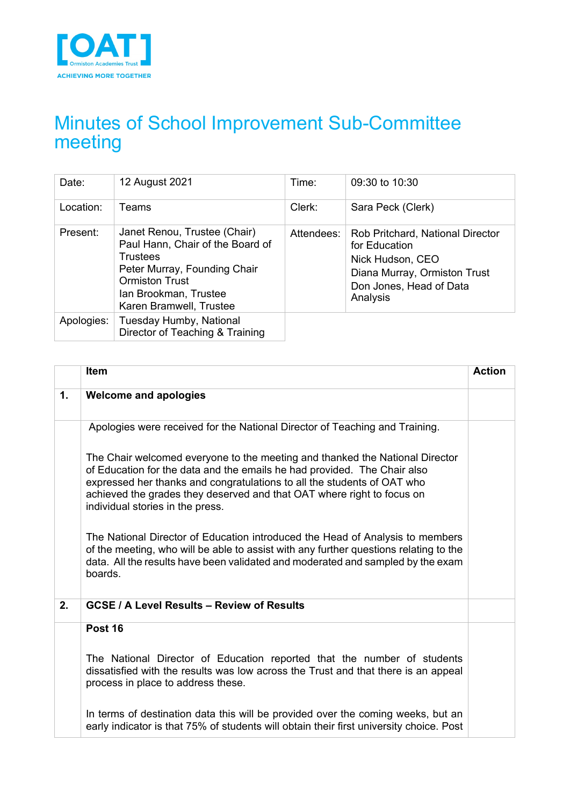

# Minutes of School Improvement Sub-Committee meeting

| Date:      | 12 August 2021                                                                                                                                                                                   | Time:      | 09:30 to 10:30                                                                                                                               |
|------------|--------------------------------------------------------------------------------------------------------------------------------------------------------------------------------------------------|------------|----------------------------------------------------------------------------------------------------------------------------------------------|
| Location:  | Teams                                                                                                                                                                                            | Clerk:     | Sara Peck (Clerk)                                                                                                                            |
| Present:   | Janet Renou, Trustee (Chair)<br>Paul Hann, Chair of the Board of<br><b>Trustees</b><br>Peter Murray, Founding Chair<br><b>Ormiston Trust</b><br>Ian Brookman, Trustee<br>Karen Bramwell, Trustee | Attendees: | Rob Pritchard, National Director<br>for Education<br>Nick Hudson, CEO<br>Diana Murray, Ormiston Trust<br>Don Jones, Head of Data<br>Analysis |
| Apologies: | Tuesday Humby, National<br>Director of Teaching & Training                                                                                                                                       |            |                                                                                                                                              |

|    | Item                                                                                                                                                                                                                                                                                                                                              | <b>Action</b> |
|----|---------------------------------------------------------------------------------------------------------------------------------------------------------------------------------------------------------------------------------------------------------------------------------------------------------------------------------------------------|---------------|
| 1. | <b>Welcome and apologies</b>                                                                                                                                                                                                                                                                                                                      |               |
|    | Apologies were received for the National Director of Teaching and Training.                                                                                                                                                                                                                                                                       |               |
|    | The Chair welcomed everyone to the meeting and thanked the National Director<br>of Education for the data and the emails he had provided. The Chair also<br>expressed her thanks and congratulations to all the students of OAT who<br>achieved the grades they deserved and that OAT where right to focus on<br>individual stories in the press. |               |
|    | The National Director of Education introduced the Head of Analysis to members<br>of the meeting, who will be able to assist with any further questions relating to the<br>data. All the results have been validated and moderated and sampled by the exam<br>boards.                                                                              |               |
| 2. | <b>GCSE / A Level Results - Review of Results</b>                                                                                                                                                                                                                                                                                                 |               |
|    | Post 16                                                                                                                                                                                                                                                                                                                                           |               |
|    | The National Director of Education reported that the number of students<br>dissatisfied with the results was low across the Trust and that there is an appeal<br>process in place to address these.                                                                                                                                               |               |
|    | In terms of destination data this will be provided over the coming weeks, but an<br>early indicator is that 75% of students will obtain their first university choice. Post                                                                                                                                                                       |               |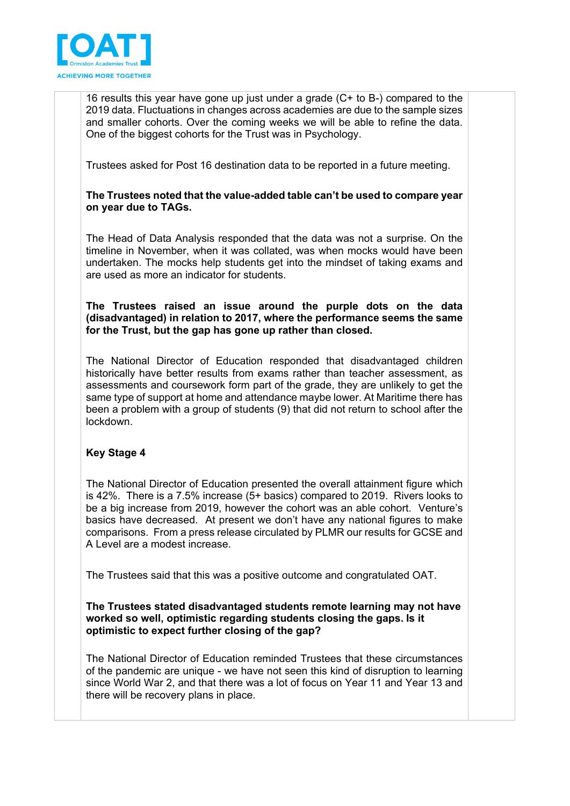

16 results this year have gone up just under a grade (C+ to B-) compared to the 2019 data. Fluctuations in changes across academies are due to the sample sizes and smaller cohorts. Over the coming weeks we will be able to refine the data. One of the biggest cohorts for the Trust was in Psychology.

Trustees asked for Post 16 destination data to be reported in a future meeting.

# **The Trustees noted that the value-added table can't be used to compare year on year due to TAGs.**

The Head of Data Analysis responded that the data was not a surprise. On the timeline in November, when it was collated, was when mocks would have been undertaken. The mocks help students get into the mindset of taking exams and are used as more an indicator for students.

**The Trustees raised an issue around the purple dots on the data (disadvantaged) in relation to 2017, where the performance seems the same for the Trust, but the gap has gone up rather than closed.**

The National Director of Education responded that disadvantaged children historically have better results from exams rather than teacher assessment, as assessments and coursework form part of the grade, they are unlikely to get the same type of support at home and attendance maybe lower. At Maritime there has been a problem with a group of students (9) that did not return to school after the lockdown.

# **Key Stage 4**

The National Director of Education presented the overall attainment figure which is 42%. There is a 7.5% increase (5+ basics) compared to 2019. Rivers looks to be a big increase from 2019, however the cohort was an able cohort. Venture's basics have decreased. At present we don't have any national figures to make comparisons. From a press release circulated by PLMR our results for GCSE and A Level are a modest increase.

The Trustees said that this was a positive outcome and congratulated OAT.

#### **The Trustees stated disadvantaged students remote learning may not have worked so well, optimistic regarding students closing the gaps. Is it optimistic to expect further closing of the gap?**

The National Director of Education reminded Trustees that these circumstances of the pandemic are unique - we have not seen this kind of disruption to learning since World War 2, and that there was a lot of focus on Year 11 and Year 13 and there will be recovery plans in place.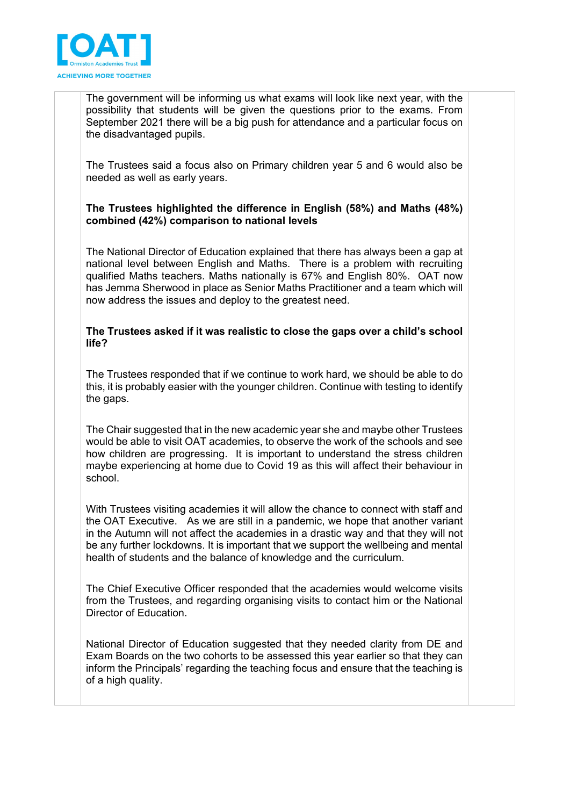

The government will be informing us what exams will look like next year, with the possibility that students will be given the questions prior to the exams. From September 2021 there will be a big push for attendance and a particular focus on the disadvantaged pupils.

The Trustees said a focus also on Primary children year 5 and 6 would also be needed as well as early years.

# **The Trustees highlighted the difference in English (58%) and Maths (48%) combined (42%) comparison to national levels**

The National Director of Education explained that there has always been a gap at national level between English and Maths. There is a problem with recruiting qualified Maths teachers. Maths nationally is 67% and English 80%. OAT now has Jemma Sherwood in place as Senior Maths Practitioner and a team which will now address the issues and deploy to the greatest need.

# **The Trustees asked if it was realistic to close the gaps over a child's school life?**

The Trustees responded that if we continue to work hard, we should be able to do this, it is probably easier with the younger children. Continue with testing to identify the gaps.

The Chair suggested that in the new academic year she and maybe other Trustees would be able to visit OAT academies, to observe the work of the schools and see how children are progressing. It is important to understand the stress children maybe experiencing at home due to Covid 19 as this will affect their behaviour in school.

With Trustees visiting academies it will allow the chance to connect with staff and the OAT Executive. As we are still in a pandemic, we hope that another variant in the Autumn will not affect the academies in a drastic way and that they will not be any further lockdowns. It is important that we support the wellbeing and mental health of students and the balance of knowledge and the curriculum.

The Chief Executive Officer responded that the academies would welcome visits from the Trustees, and regarding organising visits to contact him or the National Director of Education.

National Director of Education suggested that they needed clarity from DE and Exam Boards on the two cohorts to be assessed this year earlier so that they can inform the Principals' regarding the teaching focus and ensure that the teaching is of a high quality.